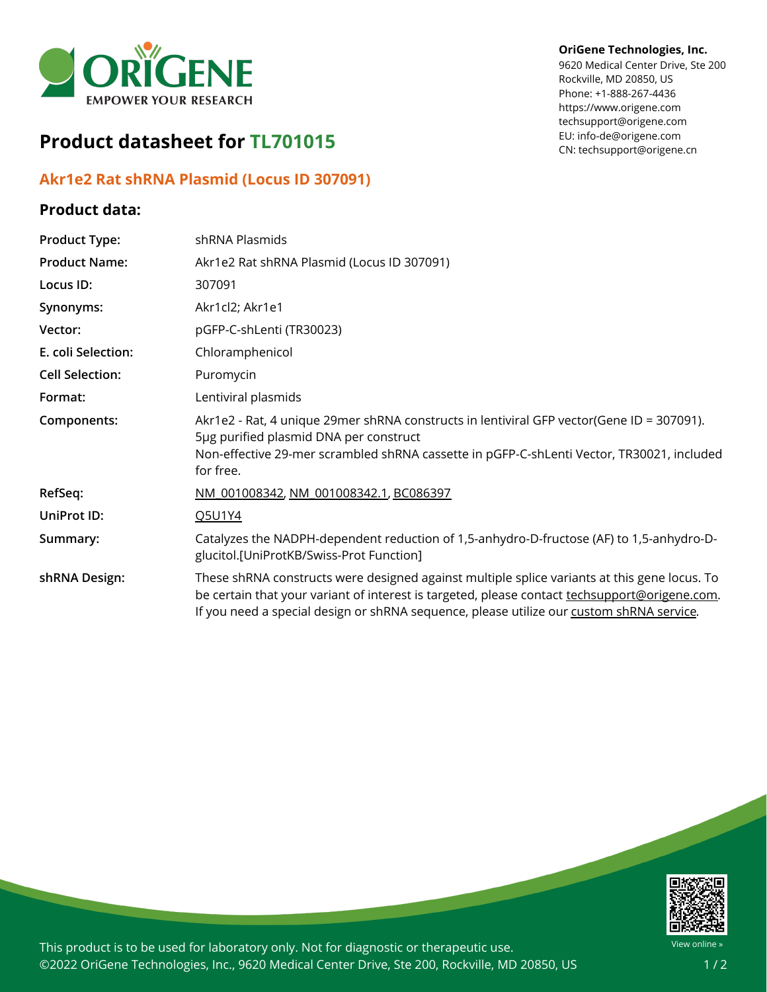

# **Product datasheet for TL701015**

## **Akr1e2 Rat shRNA Plasmid (Locus ID 307091)**

### **Product data:**

#### **OriGene Technologies, Inc.**

9620 Medical Center Drive, Ste 200 Rockville, MD 20850, US Phone: +1-888-267-4436 https://www.origene.com techsupport@origene.com EU: info-de@origene.com CN: techsupport@origene.cn

| <b>Product Type:</b>   | shRNA Plasmids                                                                                                                                                                                                                                                                            |
|------------------------|-------------------------------------------------------------------------------------------------------------------------------------------------------------------------------------------------------------------------------------------------------------------------------------------|
| <b>Product Name:</b>   | Akr1e2 Rat shRNA Plasmid (Locus ID 307091)                                                                                                                                                                                                                                                |
| Locus ID:              | 307091                                                                                                                                                                                                                                                                                    |
| Synonyms:              | Akr1cl2; Akr1e1                                                                                                                                                                                                                                                                           |
| Vector:                | pGFP-C-shLenti (TR30023)                                                                                                                                                                                                                                                                  |
| E. coli Selection:     | Chloramphenicol                                                                                                                                                                                                                                                                           |
| <b>Cell Selection:</b> | Puromycin                                                                                                                                                                                                                                                                                 |
| Format:                | Lentiviral plasmids                                                                                                                                                                                                                                                                       |
| Components:            | Akr1e2 - Rat, 4 unique 29mer shRNA constructs in lentiviral GFP vector(Gene ID = 307091).<br>5µg purified plasmid DNA per construct<br>Non-effective 29-mer scrambled shRNA cassette in pGFP-C-shLenti Vector, TR30021, included<br>for free.                                             |
| RefSeq:                | NM 001008342, NM 001008342.1, BC086397                                                                                                                                                                                                                                                    |
| UniProt ID:            | Q5U1Y4                                                                                                                                                                                                                                                                                    |
| Summary:               | Catalyzes the NADPH-dependent reduction of 1,5-anhydro-D-fructose (AF) to 1,5-anhydro-D-<br>glucitol.[UniProtKB/Swiss-Prot Function]                                                                                                                                                      |
| shRNA Design:          | These shRNA constructs were designed against multiple splice variants at this gene locus. To<br>be certain that your variant of interest is targeted, please contact techsupport@origene.com.<br>If you need a special design or shRNA sequence, please utilize our custom shRNA service. |



This product is to be used for laboratory only. Not for diagnostic or therapeutic use. ©2022 OriGene Technologies, Inc., 9620 Medical Center Drive, Ste 200, Rockville, MD 20850, US